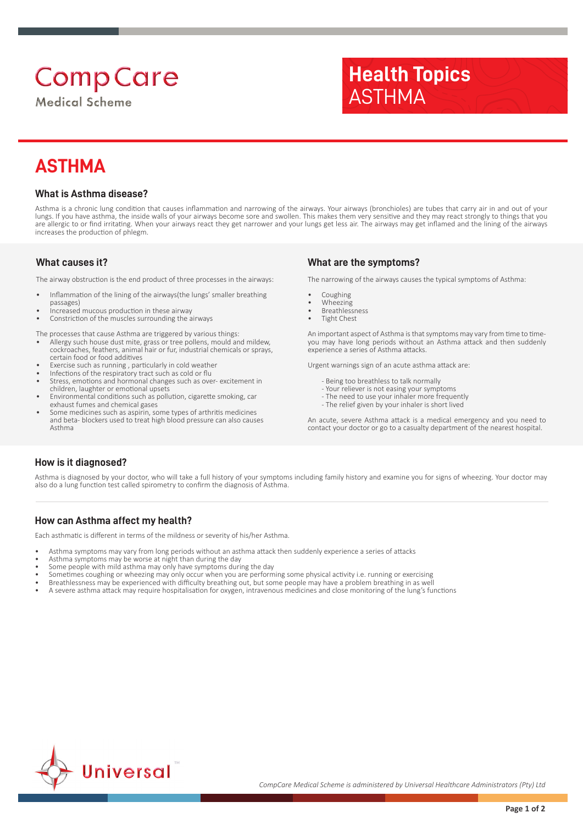# **Comp Care**

**Medical Scheme** 



# **ASTHMA**

#### **What is Asthma disease?**

Asthma is a chronic lung condition that causes inflammation and narrowing of the airways. Your airways (bronchioles) are tubes that carry air in and out of your lungs. If you have asthma, the inside walls of your airways become sore and swollen. This makes them very sensitive and they may react strongly to things that you are allergic to or find irritating. When your airways react they get narrower and your lungs get less air. The airways may get inflamed and the lining of the airways increases the production of phlegm.

#### **What causes it?**

The airway obstruction is the end product of three processes in the airways:

- Inflammation of the lining of the airways(the lungs' smaller breathing passages)
- Increased mucous production in these airway
- Constriction of the muscles surrounding the airways

The processes that cause Asthma are triggered by various things:

- Allergy such house dust mite, grass or tree pollens, mould and mildew, cockroaches, feathers, animal hair or fur, industrial chemicals or sprays, certain food or food additives
- Exercise such as running , particularly in cold weather
- Infections of the respiratory tract such as cold or flu Stress, emotions and hormonal changes such as over- excitement in children, laughter or emotional upsets
- Environmental conditions such as pollution, cigarette smoking, car exhaust fumes and chemical gases
- Some medicines such as aspirin, some types of arthritis medicines and beta- blockers used to treat high blood pressure can also causes Asthma

#### **What are the symptoms?**

The narrowing of the airways causes the typical symptoms of Asthma:

- **Coughing**
- Wheezing
- **Breathlessness**
- **Tight Chest**

An important aspect of Asthma is that symptoms may vary from time to timeyou may have long periods without an Asthma attack and then suddenly experience a series of Asthma attacks.

Urgent warnings sign of an acute asthma attack are:

- Being too breathless to talk normally
- Your reliever is not easing your symptoms
- The need to use your inhaler more frequently
- The relief given by your inhaler is short lived

An acute, severe Asthma attack is a medical emergency and you need to contact your doctor or go to a casualty department of the nearest hospital.

## **How is it diagnosed?**

Asthma is diagnosed by your doctor, who will take a full history of your symptoms including family history and examine you for signs of wheezing. Your doctor may also do a lung function test called spirometry to confirm the diagnosis of Asthma.

## **How can Asthma affect my health?**

Each asthmatic is different in terms of the mildness or severity of his/her Asthma.

- Asthma symptoms may vary from long periods without an asthma attack then suddenly experience a series of attacks
- Asthma symptoms may be worse at night than during the day
- Some people with mild asthma may only have symptoms during the day
- Sometimes coughing or wheezing may only occur when you are performing some physical activity i.e. running or exercising
- Breathlessness may be experienced with difficulty breathing out, but some people may have a problem breathing in as well
- A severe asthma attack may require hospitalisation for oxygen, intravenous medicines and close monitoring of the lung's functions